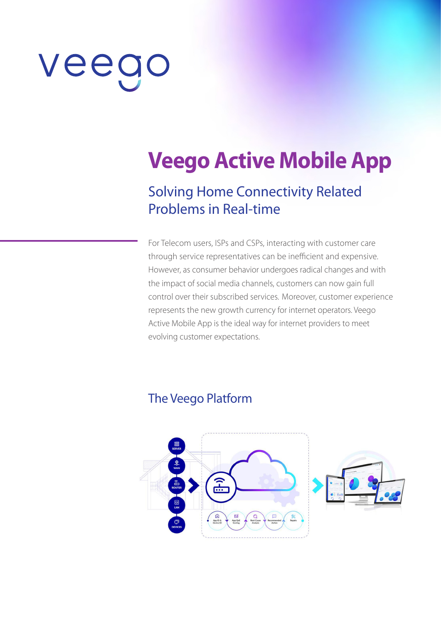# veeg

# **Veego Active Mobile App**

## Solving Home Connectivity Related Problems in Real-time

For Telecom users, ISPs and CSPs, interacting with customer care through service representatives can be inefficient and expensive. However, as consumer behavior undergoes radical changes and with the impact of social media channels, customers can now gain full control over their subscribed services. Moreover, customer experience represents the new growth currency for internet operators. Veego Active Mobile App is the ideal way for internet providers to meet evolving customer expectations.

#### The Veego Platform